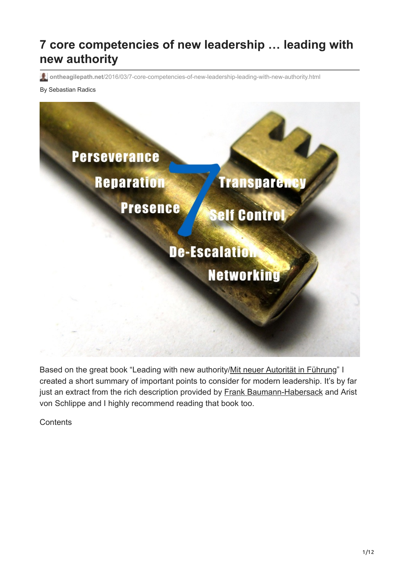# **7 core competencies of new leadership … leading with new authority**

**ontheagilepath.net**[/2016/03/7-core-competencies-of-new-leadership-leading-with-new-authority.html](https://www.ontheagilepath.net/2016/03/7-core-competencies-of-new-leadership-leading-with-new-authority.html)

#### By Sebastian Radics



Based on the great book "Leading with new authority/[Mit neuer Autorität in Führung](http://www.amazon.de/Mit-neuer-Autorit%C3%A4t-F%C3%BChrung-beharrlicher/dp/3658021454/ref=sr_1_1?ie=UTF8&qid=1458024277&sr=8-1&keywords=mit+neuer+autorit%C3%A4t+in+f%C3%BChrung)" I created a short summary of important points to consider for modern leadership. It's by far just an extract from the rich description provided by [Frank Baumann-Habersack](https://twitter.com/FrankBauHa) and Arist von Schlippe and I highly recommend reading that book too.

**Contents**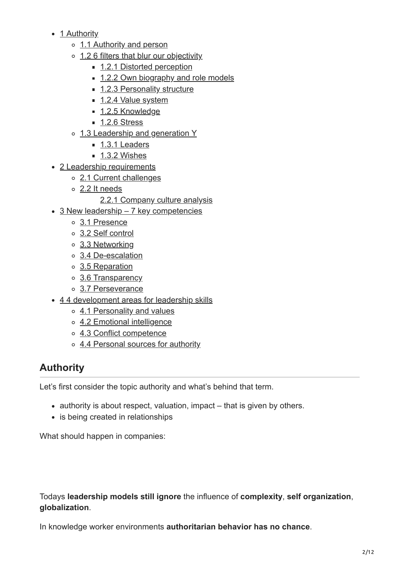- [1 Authority](#page-1-0)
	- o [1.1 Authority and person](#page-2-0)
	- [1.2 6 filters that blur our objectivity](#page-3-0)
		- [1.2.1 Distorted perception](#page-3-1)
		- [1.2.2 Own biography and role models](#page-3-2)
		- **[1.2.3 Personality structure](#page-3-3)**
		- [1.2.4 Value system](#page-3-4)
		- $\blacksquare$  [1.2.5 Knowledge](#page-3-5)
		- $\blacksquare$  [1.2.6 Stress](#page-4-0)
	- o [1.3 Leadership and generation Y](#page-4-1)
		- [1.3.1 Leaders](#page-4-2)
		- $\blacksquare$  [1.3.2 Wishes](#page-4-3)
- [2 Leadership requirements](#page-4-4)
	- [2.1 Current challenges](#page-5-0)
	- [2.2 It needs](#page-5-1)
		- [2.2.1 Company culture analysis](#page-5-2)
- [3 New leadership 7 key competencies](#page-6-0)
	- [3.1 Presence](#page-6-1)
	- [3.2 Self control](#page-6-2)
	- [3.3 Networking](#page-7-0)
	- [3.4 De-escalation](#page-7-1)
	- [3.5 Reparation](#page-7-2)
	- [3.6 Transparency](#page-7-3)
	- o [3.7 Perseverance](#page-8-0)
- [4 4 development areas for leadership skills](#page-8-1)
	- o [4.1 Personality and values](#page-8-2)
	- [4.2 Emotional intelligence](#page-8-3)
	- o [4.3 Conflict competence](#page-9-0)
	- o [4.4 Personal sources for authority](#page-10-0)

## <span id="page-1-0"></span>**Authority**

Let's first consider the topic authority and what's behind that term.

- authority is about respect, valuation, impact that is given by others.
- is being created in relationships

What should happen in companies:

Todays **leadership models still ignore** the influence of **complexity**, **self organization**, **globalization**.

In knowledge worker environments **authoritarian behavior has no chance**.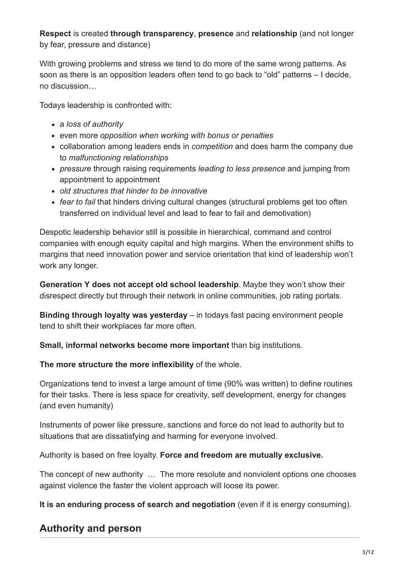#### **Respect** is created **through transparency**, **presence** and **relationship** (and not longer by fear, pressure and distance)

With growing problems and stress we tend to do more of the same wrong patterns. As soon as there is an opposition leaders often tend to go back to "old" patterns – I decide, no discussion…

Todays leadership is confronted with:

- a *loss of authority*
- even more *opposition when working with bonus or penalties*
- collaboration among leaders ends in *competition* and does harm the company due to *malfunctioning relationships*
- *pressure* through raising requirements *leading to less presence* and jumping from appointment to appointment
- *old structures that hinder to be innovative*
- *fear to fail* that hinders driving cultural changes (structural problems get too often transferred on individual level and lead to fear to fail and demotivation)

Despotic leadership behavior still is possible in hierarchical, command and control companies with enough equity capital and high margins. When the environment shifts to margins that need innovation power and service orientation that kind of leadership won't work any longer.

**Generation Y does not accept old school leadership**. Maybe they won't show their disrespect directly but through their network in online communities, job rating portals.

**Binding through loyalty was yesterday** – in todays fast pacing environment people tend to shift their workplaces far more often.

**Small, informal networks become more important** than big institutions.

**The more structure the more inflexibility** of the whole.

Organizations tend to invest a large amount of time (90% was written) to define routines for their tasks. There is less space for creativity, self development, energy for changes (and even humanity)

Instruments of power like pressure, sanctions and force do not lead to authority but to situations that are dissatisfying and harming for everyone involved.

Authority is based on free loyalty. **Force and freedom are mutually exclusive.**

The concept of new authority … The more resolute and nonviolent options one chooses against violence the faster the violent approach will loose its power.

**It is an enduring process of search and negotiation** (even if it is energy consuming).

## <span id="page-2-0"></span>**Authority and person**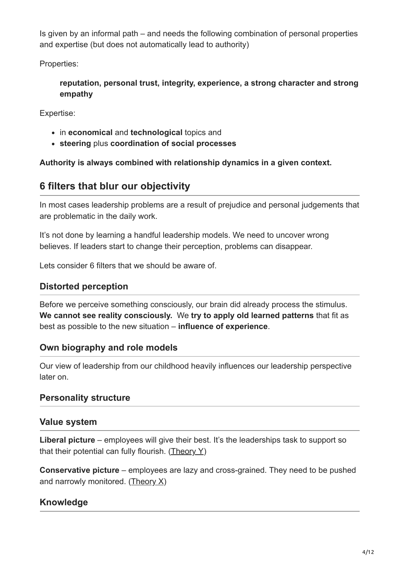Is given by an informal path – and needs the following combination of personal properties and expertise (but does not automatically lead to authority)

Properties:

**reputation, personal trust, integrity, experience, a strong character and strong empathy**

Expertise:

- in **economical** and **technological** topics and
- **steering** plus **coordination of social processes**

**Authority is always combined with relationship dynamics in a given context.**

## <span id="page-3-0"></span>**6 filters that blur our objectivity**

In most cases leadership problems are a result of prejudice and personal judgements that are problematic in the daily work.

It's not done by learning a handful leadership models. We need to uncover wrong believes. If leaders start to change their perception, problems can disappear.

Lets consider 6 filters that we should be aware of.

#### <span id="page-3-1"></span>**Distorted perception**

Before we perceive something consciously, our brain did already process the stimulus. **We cannot see reality consciously.** We **try to apply old learned patterns** that fit as best as possible to the new situation – **influence of experience**.

#### <span id="page-3-2"></span>**Own biography and role models**

Our view of leadership from our childhood heavily influences our leadership perspective later on.

#### <span id="page-3-3"></span>**Personality structure**

#### <span id="page-3-4"></span>**Value system**

**Liberal picture** – employees will give their best. It's the leaderships task to support so that their potential can fully flourish. (Theory  $Y$ )

**Conservative picture** – employees are lazy and cross-grained. They need to be pushed and narrowly monitored. [\(Theory X\)](https://en.wikipedia.org/wiki/Theory_X_and_Theory_Y)

#### <span id="page-3-5"></span>**Knowledge**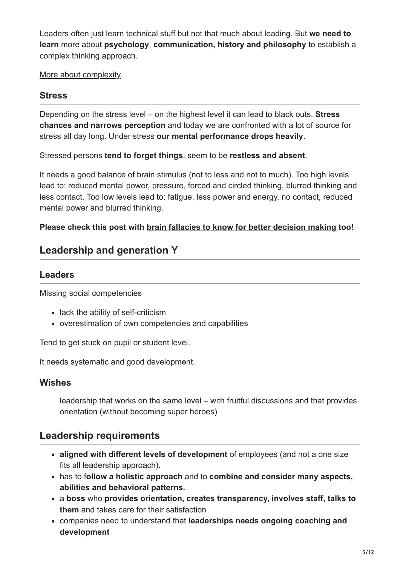Leaders often just learn technical stuff but not that much about leading. But **we need to learn** more about **psychology**, **communication, history and philosophy** to establish a complex thinking approach.

[More about complexity.](http://www.ontheagilepath.net/2015/10/complexity-and-methods-to-succeed-thanks-for-the-books-organize-for-complexity-and-komplexithoden.html)

#### <span id="page-4-0"></span>**Stress**

Depending on the stress level – on the highest level it can lead to black outs. **Stress chances and narrows perception** and today we are confronted with a lot of source for stress all day long. Under stress **our mental performance drops heavily**.

Stressed persons **tend to forget things**, seem to be **restless and absent**.

It needs a good balance of brain stimulus (not to less and not to much). Too high levels lead to: reduced mental power, pressure, forced and circled thinking, blurred thinking and less contact. Too low levels lead to: fatigue, less power and energy, no contact, reduced mental power and blurred thinking.

#### **Please check this post with [brain fallacies to know for better decision making](http://www.ontheagilepath.net/2016/01/better-decisions-by-considering-the-brain-fallacies-my-top-10-from-the-art-of-thinking.html) too!**

## <span id="page-4-1"></span>**Leadership and generation Y**

#### <span id="page-4-2"></span>**Leaders**

Missing social competencies

- lack the ability of self-criticism
- overestimation of own competencies and capabilities

Tend to get stuck on pupil or student level.

It needs systematic and good development.

#### <span id="page-4-3"></span>**Wishes**

leadership that works on the same level – with fruitful discussions and that provides orientation (without becoming super heroes)

### <span id="page-4-4"></span>**Leadership requirements**

- **aligned with different levels of development** of employees (and not a one size fits all leadership approach).
- has to f**ollow a holistic approach** and to **combine and consider many aspects, abilities and behavioral patterns.**
- a **boss** who **provides orientation, creates transparency, involves staff, talks to them** and takes care for their satisfaction
- companies need to understand that **leaderships needs ongoing coaching and development**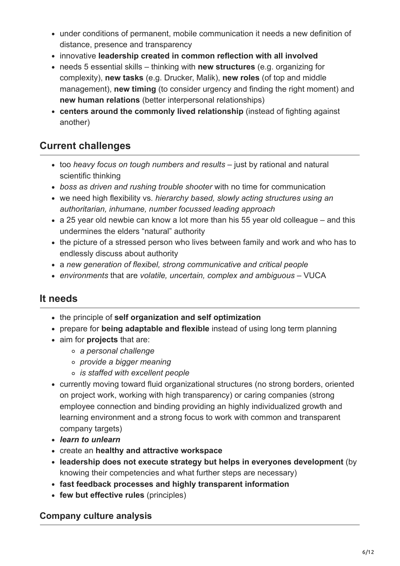- under conditions of permanent, mobile communication it needs a new definition of distance, presence and transparency
- innovative **leadership created in common reflection with all involved**
- needs 5 essential skills thinking with **new structures** (e.g. organizing for complexity), **new tasks** (e.g. Drucker, Malik), **new roles** (of top and middle management), **new timing** (to consider urgency and finding the right moment) and **new human relations** (better interpersonal relationships)
- **centers around the commonly lived relationship** (instead of fighting against another)

## <span id="page-5-0"></span>**Current challenges**

- too *heavy focus on tough numbers and results* just by rational and natural scientific thinking
- *boss as driven and rushing trouble shooter* with no time for communication
- we need high flexibility vs. *hierarchy based, slowly acting structures using an authoritarian, inhumane, number focussed leading approach*
- a 25 year old newbie can know a lot more than his 55 year old colleague and this undermines the elders "natural" authority
- the picture of a stressed person who lives between family and work and who has to endlessly discuss about authority
- a *new generation of flexibel, strong communicative and critical people*
- *environments* that are *volatile, uncertain, complex and ambiguous* VUCA

## <span id="page-5-1"></span>**It needs**

- the principle of **self organization and self optimization**
- prepare for **being adaptable and flexible** instead of using long term planning
- aim for **projects** that are:
	- *a personal challenge*
	- *provide a bigger meaning*
	- *is staffed with excellent people*
- currently moving toward fluid organizational structures (no strong borders, oriented on project work, working with high transparency) or caring companies (strong employee connection and binding providing an highly individualized growth and learning environment and a strong focus to work with common and transparent company targets)
- *learn to unlearn*
- create an **healthy and attractive workspace**
- **leadership does not execute strategy but helps in everyones development** (by knowing their competencies and what further steps are necessary)
- **fast feedback processes and highly transparent information**
- **few but effective rules** (principles)

### <span id="page-5-2"></span>**Company culture analysis**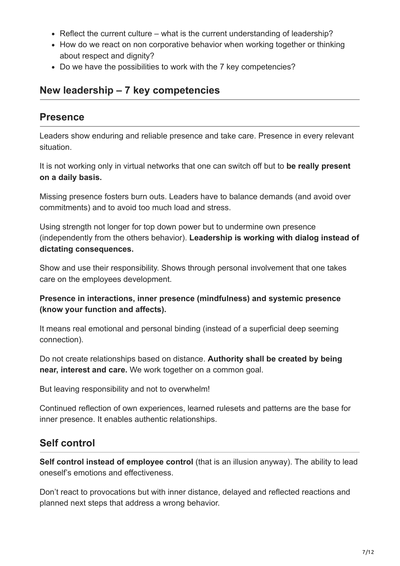- Reflect the current culture what is the current understanding of leadership?
- How do we react on non corporative behavior when working together or thinking about respect and dignity?
- Do we have the possibilities to work with the 7 key competencies?

### <span id="page-6-0"></span>**New leadership – 7 key competencies**

### <span id="page-6-1"></span>**Presence**

Leaders show enduring and reliable presence and take care. Presence in every relevant situation.

It is not working only in virtual networks that one can switch off but to **be really present on a daily basis.**

Missing presence fosters burn outs. Leaders have to balance demands (and avoid over commitments) and to avoid too much load and stress.

Using strength not longer for top down power but to undermine own presence (independently from the others behavior). **Leadership is working with dialog instead of dictating consequences.**

Show and use their responsibility. Shows through personal involvement that one takes care on the employees development.

#### **Presence in interactions, inner presence (mindfulness) and systemic presence (know your function and affects).**

It means real emotional and personal binding (instead of a superficial deep seeming connection).

Do not create relationships based on distance. **Authority shall be created by being near, interest and care.** We work together on a common goal.

But leaving responsibility and not to overwhelm!

Continued reflection of own experiences, learned rulesets and patterns are the base for inner presence. It enables authentic relationships.

## <span id="page-6-2"></span>**Self control**

**Self control instead of employee control** (that is an illusion anyway). The ability to lead oneself's emotions and effectiveness.

Don't react to provocations but with inner distance, delayed and reflected reactions and planned next steps that address a wrong behavior.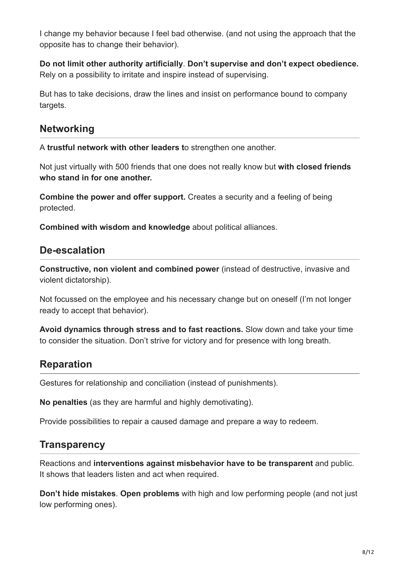I change my behavior because I feel bad otherwise. (and not using the approach that the opposite has to change their behavior).

**Do not limit other authority artificially**. **Don't supervise and don't expect obedience.** Rely on a possibility to irritate and inspire instead of supervising.

But has to take decisions, draw the lines and insist on performance bound to company targets.

### <span id="page-7-0"></span>**Networking**

A **trustful network with other leaders t**o strengthen one another.

Not just virtually with 500 friends that one does not really know but **with closed friends who stand in for one another.**

**Combine the power and offer support.** Creates a security and a feeling of being protected.

**Combined with wisdom and knowledge** about political alliances.

### <span id="page-7-1"></span>**De-escalation**

**Constructive, non violent and combined power** (instead of destructive, invasive and violent dictatorship).

Not focussed on the employee and his necessary change but on oneself (I'm not longer ready to accept that behavior).

**Avoid dynamics through stress and to fast reactions.** Slow down and take your time to consider the situation. Don't strive for victory and for presence with long breath.

## <span id="page-7-2"></span>**Reparation**

Gestures for relationship and conciliation (instead of punishments).

**No penalties** (as they are harmful and highly demotivating).

Provide possibilities to repair a caused damage and prepare a way to redeem.

## <span id="page-7-3"></span>**Transparency**

Reactions and **interventions against misbehavior have to be transparent** and public. It shows that leaders listen and act when required.

**Don't hide mistakes**. **Open problems** with high and low performing people (and not just low performing ones).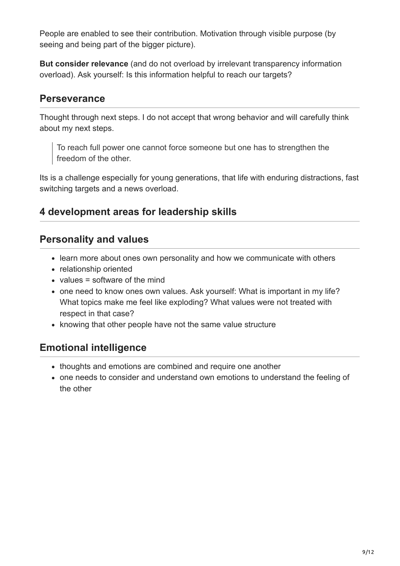People are enabled to see their contribution. Motivation through visible purpose (by seeing and being part of the bigger picture).

**But consider relevance** (and do not overload by irrelevant transparency information overload). Ask yourself: Is this information helpful to reach our targets?

### <span id="page-8-0"></span>**Perseverance**

Thought through next steps. I do not accept that wrong behavior and will carefully think about my next steps.

To reach full power one cannot force someone but one has to strengthen the freedom of the other.

Its is a challenge especially for young generations, that life with enduring distractions, fast switching targets and a news overload.

## <span id="page-8-1"></span>**4 development areas for leadership skills**

## <span id="page-8-2"></span>**Personality and values**

- learn more about ones own personality and how we communicate with others
- relationship oriented
- $\bullet$  values = software of the mind
- one need to know ones own values. Ask yourself: What is important in my life? What topics make me feel like exploding? What values were not treated with respect in that case?
- knowing that other people have not the same value structure

## <span id="page-8-3"></span>**Emotional intelligence**

- thoughts and emotions are combined and require one another
- one needs to consider and understand own emotions to understand the feeling of the other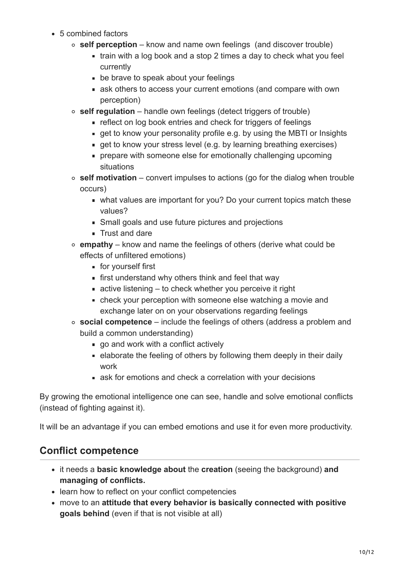- 5 combined factors
	- **self perception** know and name own feelings (and discover trouble)
		- $\blacksquare$  train with a log book and a stop 2 times a day to check what you feel currently
		- **be brave to speak about your feelings**
		- ask others to access your current emotions (and compare with own perception)
	- **self regulation** handle own feelings (detect triggers of trouble)
		- reflect on log book entries and check for triggers of feelings
		- quet to know your personality profile e.g. by using the MBTI or Insights
		- **quet to know your stress level (e.g. by learning breathing exercises)**
		- **prepare with someone else for emotionally challenging upcoming** situations
	- **self motivation** convert impulses to actions (go for the dialog when trouble occurs)
		- what values are important for you? Do your current topics match these values?
		- Small goals and use future pictures and projections
		- **Trust and dare**
	- **empathy** know and name the feelings of others (derive what could be effects of unfiltered emotions)
		- **for yourself first**
		- **first understand why others think and feel that way**
		- active listening to check whether you perceive it right
		- check your perception with someone else watching a movie and exchange later on on your observations regarding feelings
	- **social competence** include the feelings of others (address a problem and build a common understanding)
		- go and work with a conflict actively
		- elaborate the feeling of others by following them deeply in their daily work
		- ask for emotions and check a correlation with your decisions

By growing the emotional intelligence one can see, handle and solve emotional conflicts (instead of fighting against it).

It will be an advantage if you can embed emotions and use it for even more productivity.

## <span id="page-9-0"></span>**Conflict competence**

- it needs a **basic knowledge about** the **creation** (seeing the background) **and managing of conflicts.**
- learn how to reflect on your conflict competencies
- move to an **attitude that every behavior is basically connected with positive goals behind** (even if that is not visible at all)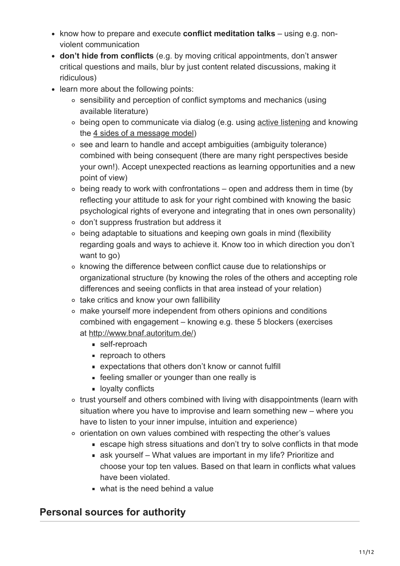- know how to prepare and execute **conflict meditation talks** using e.g. nonviolent communication
- **don't hide from conflicts** (e.g. by moving critical appointments, don't answer critical questions and mails, blur by just content related discussions, making it ridiculous)
- learn more about the following points:
	- sensibility and perception of conflict symptoms and mechanics (using available literature)
	- being open to communicate via dialog (e.g. using [active listening](https://en.wikipedia.org/wiki/Active_listening) and knowing the [4 sides of a message model\)](https://en.wikipedia.org/wiki/Four-sides_model)
	- see and learn to handle and accept ambiguities (ambiguity tolerance) combined with being consequent (there are many right perspectives beside your own!). Accept unexpected reactions as learning opportunities and a new point of view)
	- $\circ$  being ready to work with confrontations open and address them in time (by reflecting your attitude to ask for your right combined with knowing the basic psychological rights of everyone and integrating that in ones own personality)
	- don't suppress frustration but address it
	- being adaptable to situations and keeping own goals in mind (flexibility regarding goals and ways to achieve it. Know too in which direction you don't want to go)
	- knowing the difference between conflict cause due to relationships or organizational structure (by knowing the roles of the others and accepting role differences and seeing conflicts in that area instead of your relation)
	- o take critics and know your own fallibility
	- make yourself more independent from others opinions and conditions combined with engagement – knowing e.g. these 5 blockers (exercises at [http://www.bnaf.autoritum.de/\)](http://www.bnaf.autoritum.de/)
		- self-reproach
		- **reproach to others**
		- expectations that others don't know or cannot fulfill
		- **EXECUTE:** feeling smaller or younger than one really is
		- **I** loyalty conflicts
	- trust yourself and others combined with living with disappointments (learn with situation where you have to improvise and learn something new – where you have to listen to your inner impulse, intuition and experience)
	- $\circ$  orientation on own values combined with respecting the other's values
		- escape high stress situations and don't try to solve conflicts in that mode
		- ask yourself What values are important in my life? Prioritize and choose your top ten values. Based on that learn in conflicts what values have been violated.
		- what is the need behind a value

## <span id="page-10-0"></span>**Personal sources for authority**